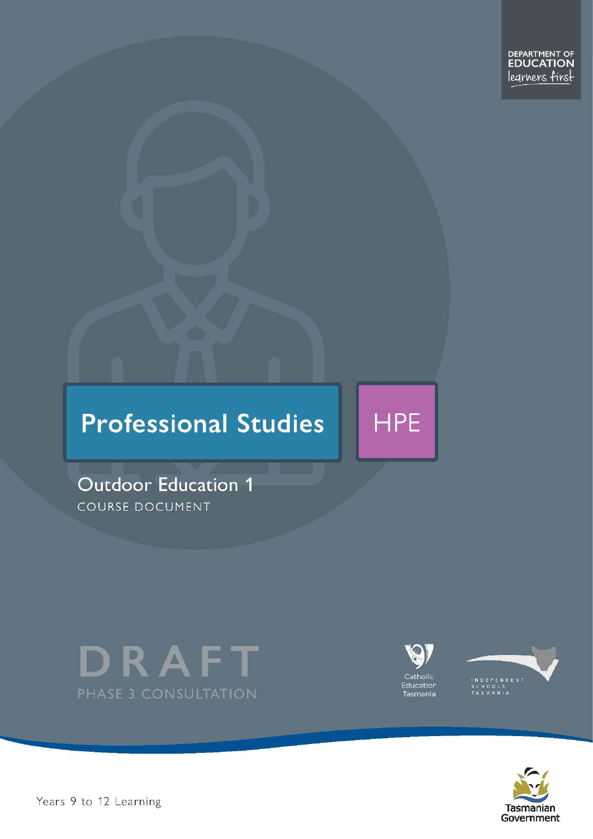# **Professional Studies**

**Outdoor Education 1** COURSE DOCUMENT





**HPE** 





Pears 9 to 12 Learning – Outdoor Education Dramatics – Outdoor Education Level 1 and 25 of 25 of 25 of 25 of 25 of 25 of 25 of 25 of 25 of 25 of 25 of 25 of 25 of 25 of 25 of 25 of 25 of 25 of 25 of 25 of 25 of 25 of 25 of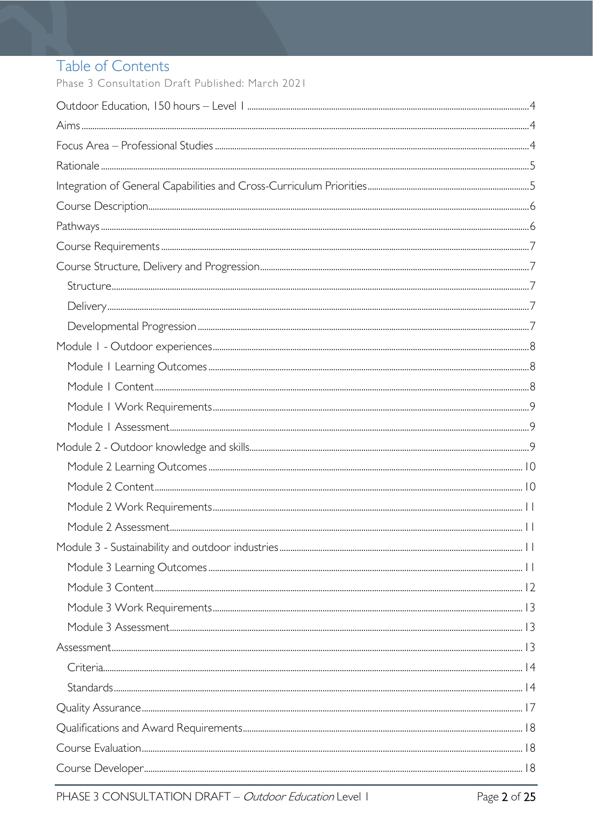# Table of Contents

Phase 3 Consultation Draft Published: March 2021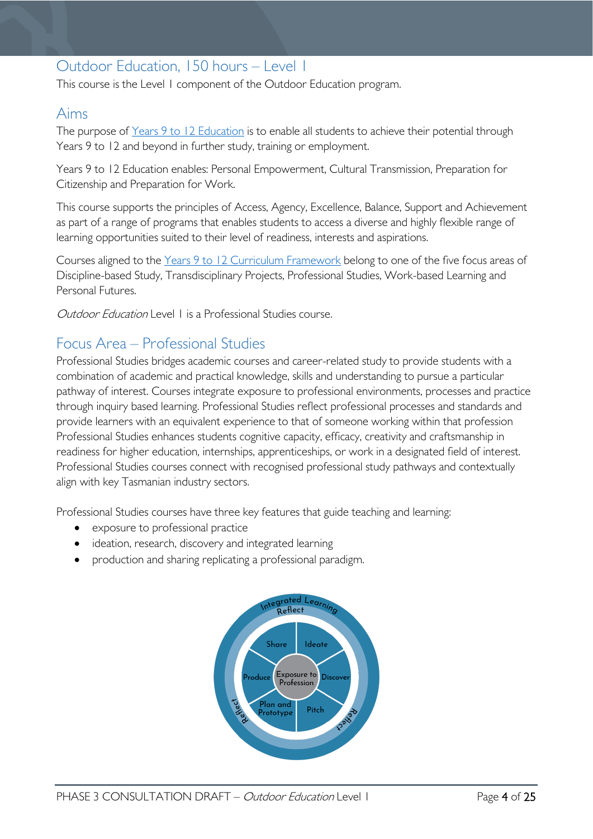# <span id="page-3-0"></span>Outdoor Education, 150 hours – Level 1

This course is the Level 1 component of the Outdoor Education program.

# <span id="page-3-1"></span>Aims

The purpose of Years 9 to 12 [Education](https://publicdocumentcentre.education.tas.gov.au/library/Shared%20Documents/Years-9-to-12-Education-Framework.pdf) is to enable all students to achieve their potential through Years 9 to 12 and beyond in further study, training or employment.

Years 9 to 12 Education enables: Personal Empowerment, Cultural Transmission, Preparation for Citizenship and Preparation for Work.

This course supports the principles of Access, Agency, Excellence, Balance, Support and Achievement as part of a range of programs that enables students to access a diverse and highly flexible range of learning opportunities suited to their level of readiness, interests and aspirations.

Courses aligned to the Years 9 to 12 Curriculum [Framework](https://publicdocumentcentre.education.tas.gov.au/library/Shared%20Documents/Education%209-12%20Frameworks%20A3%20WEB%20POSTER.pdf) belong to one of the five focus areas of Discipline-based Study, Transdisciplinary Projects, Professional Studies, Work-based Learning and Personal Futures.

Outdoor Education Level 1 is a Professional Studies course.

# <span id="page-3-2"></span>Focus Area – Professional Studies

Professional Studies bridges academic courses and career-related study to provide students with a combination of academic and practical knowledge, skills and understanding to pursue a particular pathway of interest. Courses integrate exposure to professional environments, processes and practice through inquiry based learning. Professional Studies reflect professional processes and standards and provide learners with an equivalent experience to that of someone working within that profession Professional Studies enhances students cognitive capacity, efficacy, creativity and craftsmanship in readiness for higher education, internships, apprenticeships, or work in a designated field of interest. Professional Studies courses connect with recognised professional study pathways and contextually align with key Tasmanian industry sectors.

Professional Studies courses have three key features that guide teaching and learning:

- exposure to professional practice
- ideation, research, discovery and integrated learning
- production and sharing replicating a professional paradigm.

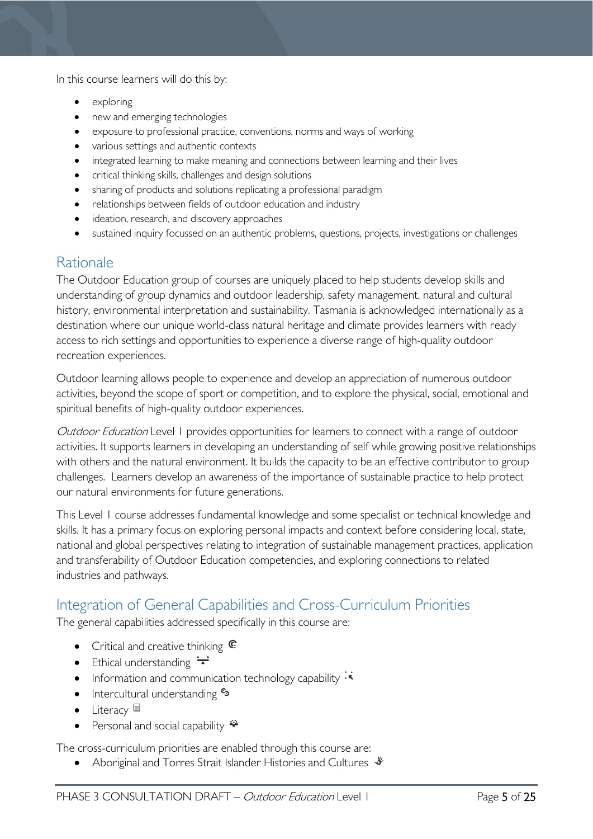In this course learners will do this by:

- exploring
- new and emerging technologies
- exposure to professional practice, conventions, norms and ways of working
- various settings and authentic contexts
- integrated learning to make meaning and connections between learning and their lives
- critical thinking skills, challenges and design solutions
- sharing of products and solutions replicating a professional paradigm
- relationships between fields of outdoor education and industry
- ideation, research, and discovery approaches
- sustained inquiry focussed on an authentic problems, questions, projects, investigations or challenges

# <span id="page-4-0"></span>Rationale

The Outdoor Education group of courses are uniquely placed to help students develop skills and understanding of group dynamics and outdoor leadership, safety management, natural and cultural history, environmental interpretation and sustainability. Tasmania is acknowledged internationally as a destination where our unique world-class natural heritage and climate provides learners with ready access to rich settings and opportunities to experience a diverse range of high-quality outdoor recreation experiences.

Outdoor learning allows people to experience and develop an appreciation of numerous outdoor activities, beyond the scope of sport or competition, and to explore the physical, social, emotional and spiritual benefits of high-quality outdoor experiences.

Outdoor Education Level 1 provides opportunities for learners to connect with a range of outdoor activities. It supports learners in developing an understanding of self while growing positive relationships with others and the natural environment. It builds the capacity to be an effective contributor to group challenges. Learners develop an awareness of the importance of sustainable practice to help protect our natural environments for future generations.

This Level 1 course addresses fundamental knowledge and some specialist or technical knowledge and skills. It has a primary focus on exploring personal impacts and context before considering local, state, national and global perspectives relating to integration of sustainable management practices, application and transferability of Outdoor Education competencies, and exploring connections to related industries and pathways.

# <span id="page-4-1"></span>Integration of General Capabilities and Cross-Curriculum Priorities

The general capabilities addressed specifically in this course are:

- Critical and creative thinking  $\mathbb{C}$
- Ethical understanding  $\div$
- Information and communication technology capability  $\cdot$
- Intercultural understanding  $\epsilon_3$
- Literacy
- Personal and social capability  $\ddot{\bullet}$

The cross-curriculum priorities are enabled through this course are:

• Aboriginal and Torres Strait Islander Histories and Cultures  $\mathcal$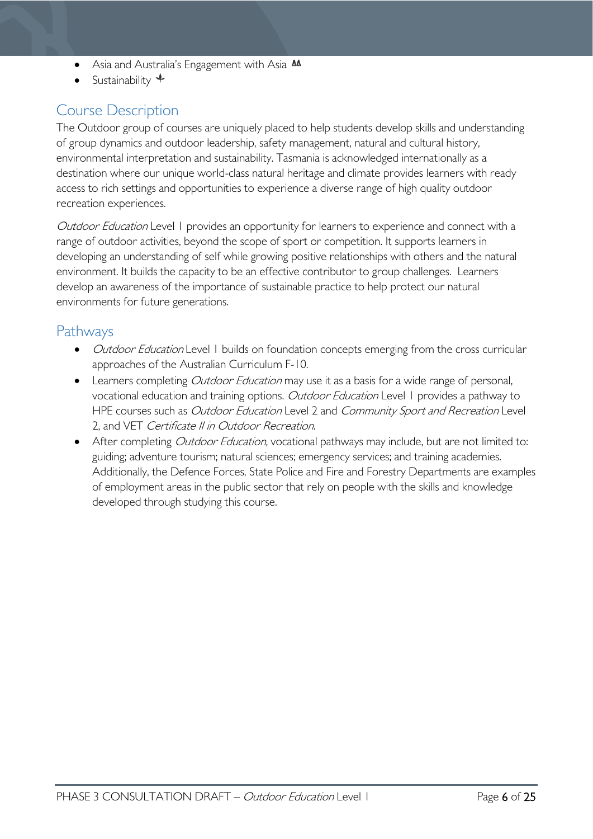- Asia and Australia's Engagement with Asia AA
- Sustainability  $\triangleleft$

# <span id="page-5-0"></span>Course Description

The Outdoor group of courses are uniquely placed to help students develop skills and understanding of group dynamics and outdoor leadership, safety management, natural and cultural history, environmental interpretation and sustainability. Tasmania is acknowledged internationally as a destination where our unique world-class natural heritage and climate provides learners with ready access to rich settings and opportunities to experience a diverse range of high quality outdoor recreation experiences.

Outdoor Education Level 1 provides an opportunity for learners to experience and connect with a range of outdoor activities, beyond the scope of sport or competition. It supports learners in developing an understanding of self while growing positive relationships with others and the natural environment. It builds the capacity to be an effective contributor to group challenges. Learners develop an awareness of the importance of sustainable practice to help protect our natural environments for future generations.

# <span id="page-5-1"></span>Pathways

- *Outdoor Education* Level 1 builds on foundation concepts emerging from the cross curricular approaches of the Australian Curriculum F-10.
- Learners completing *Outdoor Education* may use it as a basis for a wide range of personal, vocational education and training options. Outdoor Education Level 1 provides a pathway to HPE courses such as Outdoor Education Level 2 and Community Sport and Recreation Level 2, and VET Certificate II in Outdoor Recreation.
- After completing *Outdoor Education*, vocational pathways may include, but are not limited to: guiding; adventure tourism; natural sciences; emergency services; and training academies. Additionally, the Defence Forces, State Police and Fire and Forestry Departments are examples of employment areas in the public sector that rely on people with the skills and knowledge developed through studying this course.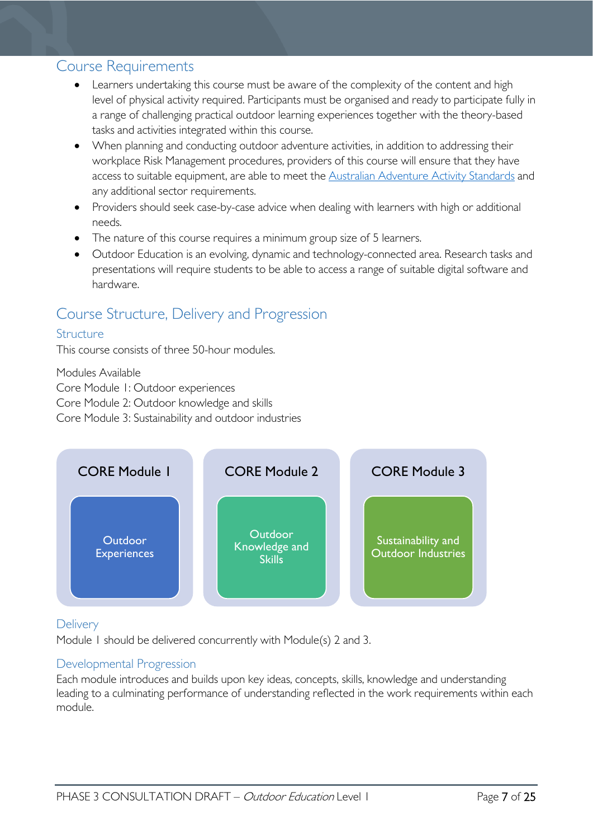### <span id="page-6-0"></span>Course Requirements

- Learners undertaking this course must be aware of the complexity of the content and high level of physical activity required. Participants must be organised and ready to participate fully in a range of challenging practical outdoor learning experiences together with the theory-based tasks and activities integrated within this course.
- When planning and conducting outdoor adventure activities, in addition to addressing their workplace Risk Management procedures, providers of this course will ensure that they have access to suitable equipment, are able to meet the [Australian Adventure Activity Standards](https://australianaas.org.au/) and any additional sector requirements.
- Providers should seek case-by-case advice when dealing with learners with high or additional needs.
- The nature of this course requires a minimum group size of 5 learners.
- Outdoor Education is an evolving, dynamic and technology-connected area. Research tasks and presentations will require students to be able to access a range of suitable digital software and hardware.

# <span id="page-6-1"></span>Course Structure, Delivery and Progression

### <span id="page-6-2"></span>**Structure**

This course consists of three 50-hour modules.

Modules Available

Core Module 1: Outdoor experiences

Core Module 2: Outdoor knowledge and skills

Core Module 3: Sustainability and outdoor industries



### <span id="page-6-3"></span>**Delivery**

Module 1 should be delivered concurrently with Module(s) 2 and 3.

### <span id="page-6-4"></span>Developmental Progression

Each module introduces and builds upon key ideas, concepts, skills, knowledge and understanding leading to a culminating performance of understanding reflected in the work requirements within each module.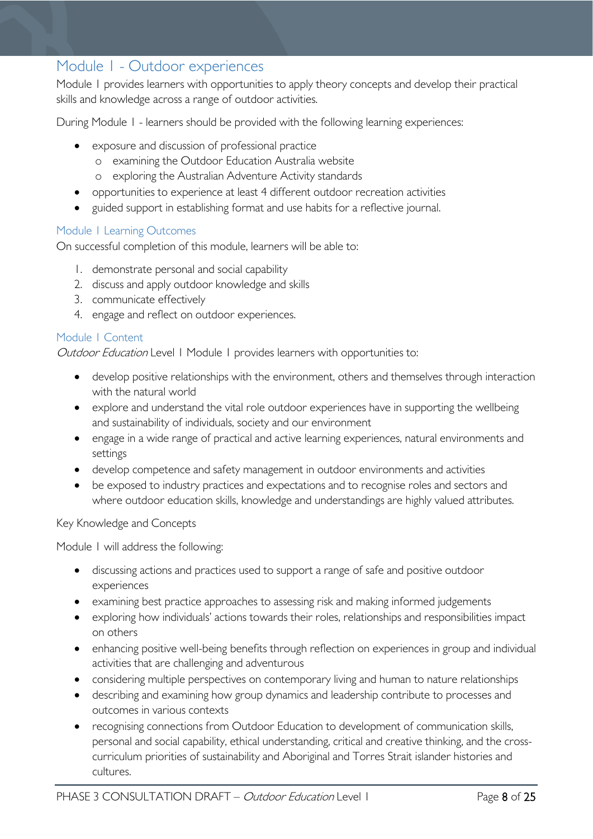# <span id="page-7-0"></span>Module 1 - Outdoor experiences

Module 1 provides learners with opportunities to apply theory concepts and develop their practical skills and knowledge across a range of outdoor activities.

During Module 1 - learners should be provided with the following learning experiences:

- exposure and discussion of professional practice
	- o examining the Outdoor Education Australia website
	- o exploring the Australian Adventure Activity standards
- opportunities to experience at least 4 different outdoor recreation activities
- guided support in establishing format and use habits for a reflective journal.

#### <span id="page-7-1"></span>Module 1 Learning Outcomes

On successful completion of this module, learners will be able to:

- 1. demonstrate personal and social capability
- 2. discuss and apply outdoor knowledge and skills
- 3. communicate effectively
- 4. engage and reflect on outdoor experiences.

### <span id="page-7-2"></span>Module 1 Content

Outdoor Education Level 1 Module 1 provides learners with opportunities to:

- develop positive relationships with the environment, others and themselves through interaction with the natural world
- explore and understand the vital role outdoor experiences have in supporting the wellbeing and sustainability of individuals, society and our environment
- engage in a wide range of practical and active learning experiences, natural environments and settings
- develop competence and safety management in outdoor environments and activities
- be exposed to industry practices and expectations and to recognise roles and sectors and where outdoor education skills, knowledge and understandings are highly valued attributes.

#### Key Knowledge and Concepts

Module 1 will address the following:

- discussing actions and practices used to support a range of safe and positive outdoor experiences
- examining best practice approaches to assessing risk and making informed judgements
- exploring how individuals' actions towards their roles, relationships and responsibilities impact on others
- enhancing positive well-being benefits through reflection on experiences in group and individual activities that are challenging and adventurous
- considering multiple perspectives on contemporary living and human to nature relationships
- describing and examining how group dynamics and leadership contribute to processes and outcomes in various contexts
- recognising connections from Outdoor Education to development of communication skills, personal and social capability, ethical understanding, critical and creative thinking, and the crosscurriculum priorities of sustainability and Aboriginal and Torres Strait islander histories and cultures.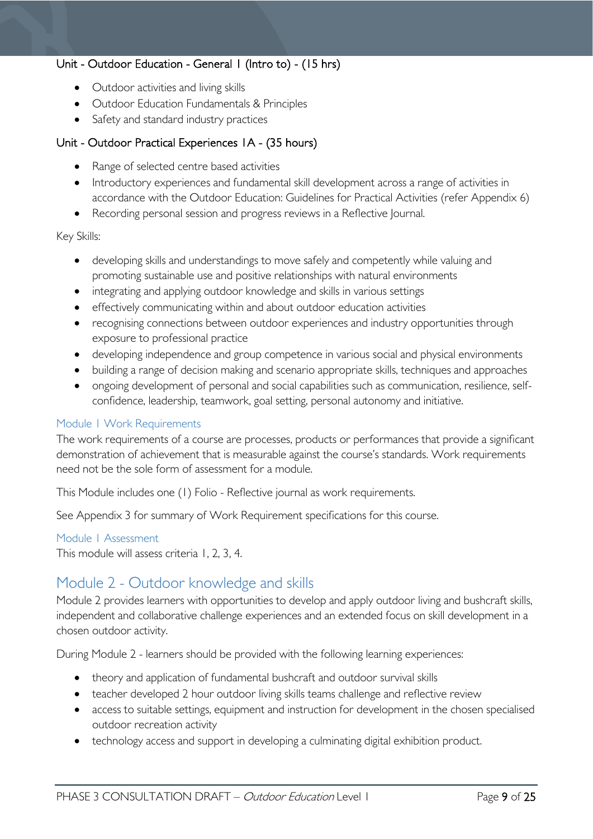### Unit - Outdoor Education - General 1 (Intro to) - (15 hrs)

- Outdoor activities and living skills
- Outdoor Education Fundamentals & Principles
- Safety and standard industry practices

### Unit - Outdoor Practical Experiences 1A - (35 hours)

- Range of selected centre based activities
- Introductory experiences and fundamental skill development across a range of activities in accordance with the Outdoor Education: Guidelines for Practical Activities (refer Appendix 6)
- Recording personal session and progress reviews in a Reflective Journal.

#### Key Skills:

- developing skills and understandings to move safely and competently while valuing and promoting sustainable use and positive relationships with natural environments
- integrating and applying outdoor knowledge and skills in various settings
- effectively communicating within and about outdoor education activities
- recognising connections between outdoor experiences and industry opportunities through exposure to professional practice
- developing independence and group competence in various social and physical environments
- building a range of decision making and scenario appropriate skills, techniques and approaches
- ongoing development of personal and social capabilities such as communication, resilience, selfconfidence, leadership, teamwork, goal setting, personal autonomy and initiative.

#### <span id="page-8-0"></span>Module 1 Work Requirements

The work requirements of a course are processes, products or performances that provide a significant demonstration of achievement that is measurable against the course's standards. Work requirements need not be the sole form of assessment for a module.

This Module includes one (1) Folio - Reflective journal as work requirements.

See Appendix 3 for summary of Work Requirement specifications for this course.

#### <span id="page-8-1"></span>Module 1 Assessment

This module will assess criteria 1, 2, 3, 4.

# <span id="page-8-2"></span>Module 2 - Outdoor knowledge and skills

Module 2 provides learners with opportunities to develop and apply outdoor living and bushcraft skills, independent and collaborative challenge experiences and an extended focus on skill development in a chosen outdoor activity.

During Module 2 - learners should be provided with the following learning experiences:

- theory and application of fundamental bushcraft and outdoor survival skills
- teacher developed 2 hour outdoor living skills teams challenge and reflective review
- access to suitable settings, equipment and instruction for development in the chosen specialised outdoor recreation activity
- technology access and support in developing a culminating digital exhibition product.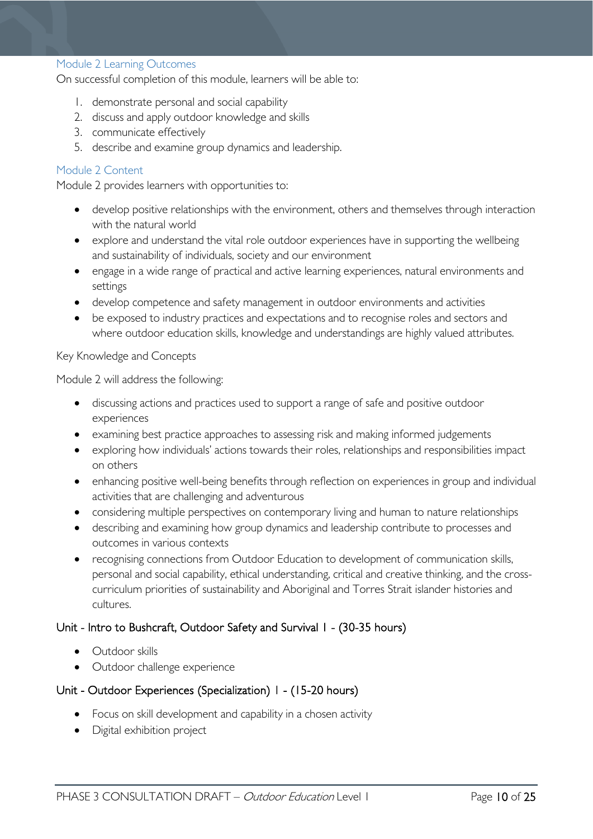#### <span id="page-9-0"></span>Module 2 Learning Outcomes

On successful completion of this module, learners will be able to:

- 1. demonstrate personal and social capability
- 2. discuss and apply outdoor knowledge and skills
- 3. communicate effectively
- 5. describe and examine group dynamics and leadership.

#### <span id="page-9-1"></span>Module 2 Content

Module 2 provides learners with opportunities to:

- develop positive relationships with the environment, others and themselves through interaction with the natural world
- explore and understand the vital role outdoor experiences have in supporting the wellbeing and sustainability of individuals, society and our environment
- engage in a wide range of practical and active learning experiences, natural environments and settings
- develop competence and safety management in outdoor environments and activities
- be exposed to industry practices and expectations and to recognise roles and sectors and where outdoor education skills, knowledge and understandings are highly valued attributes.

#### Key Knowledge and Concepts

Module 2 will address the following:

- discussing actions and practices used to support a range of safe and positive outdoor experiences
- examining best practice approaches to assessing risk and making informed judgements
- exploring how individuals' actions towards their roles, relationships and responsibilities impact on others
- enhancing positive well-being benefits through reflection on experiences in group and individual activities that are challenging and adventurous
- considering multiple perspectives on contemporary living and human to nature relationships
- describing and examining how group dynamics and leadership contribute to processes and outcomes in various contexts
- recognising connections from Outdoor Education to development of communication skills, personal and social capability, ethical understanding, critical and creative thinking, and the crosscurriculum priorities of sustainability and Aboriginal and Torres Strait islander histories and cultures.

#### Unit - Intro to Bushcraft, Outdoor Safety and Survival 1 - (30-35 hours)

- Outdoor skills
- Outdoor challenge experience

### Unit - Outdoor Experiences (Specialization) 1 - (15-20 hours)

- Focus on skill development and capability in a chosen activity
- Digital exhibition project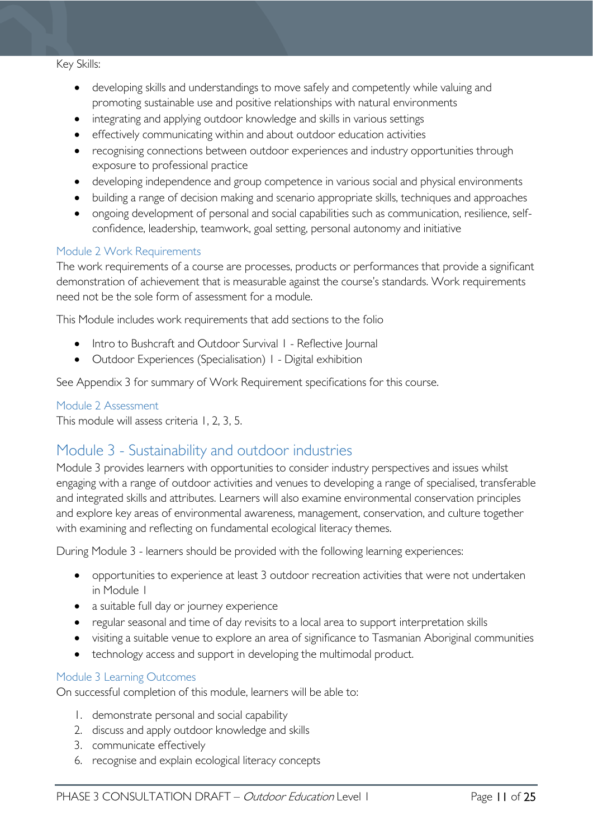#### Key Skills:

- developing skills and understandings to move safely and competently while valuing and promoting sustainable use and positive relationships with natural environments
- integrating and applying outdoor knowledge and skills in various settings
- effectively communicating within and about outdoor education activities
- recognising connections between outdoor experiences and industry opportunities through exposure to professional practice
- developing independence and group competence in various social and physical environments
- building a range of decision making and scenario appropriate skills, techniques and approaches
- ongoing development of personal and social capabilities such as communication, resilience, selfconfidence, leadership, teamwork, goal setting, personal autonomy and initiative

#### <span id="page-10-0"></span>Module 2 Work Requirements

The work requirements of a course are processes, products or performances that provide a significant demonstration of achievement that is measurable against the course's standards. Work requirements need not be the sole form of assessment for a module.

This Module includes work requirements that add sections to the folio

- Intro to Bushcraft and Outdoor Survival I Reflective Journal
- Outdoor Experiences (Specialisation) 1 Digital exhibition

See Appendix 3 for summary of Work Requirement specifications for this course.

#### <span id="page-10-1"></span>Module 2 Assessment

This module will assess criteria 1, 2, 3, 5.

### <span id="page-10-2"></span>Module 3 - Sustainability and outdoor industries

Module 3 provides learners with opportunities to consider industry perspectives and issues whilst engaging with a range of outdoor activities and venues to developing a range of specialised, transferable and integrated skills and attributes. Learners will also examine environmental conservation principles and explore key areas of environmental awareness, management, conservation, and culture together with examining and reflecting on fundamental ecological literacy themes.

During Module 3 - learners should be provided with the following learning experiences:

- opportunities to experience at least 3 outdoor recreation activities that were not undertaken in Module 1
- a suitable full day or journey experience
- regular seasonal and time of day revisits to a local area to support interpretation skills
- visiting a suitable venue to explore an area of significance to Tasmanian Aboriginal communities
- technology access and support in developing the multimodal product.

#### <span id="page-10-3"></span>Module 3 Learning Outcomes

On successful completion of this module, learners will be able to:

- 1. demonstrate personal and social capability
- 2. discuss and apply outdoor knowledge and skills
- 3. communicate effectively
- 6. recognise and explain ecological literacy concepts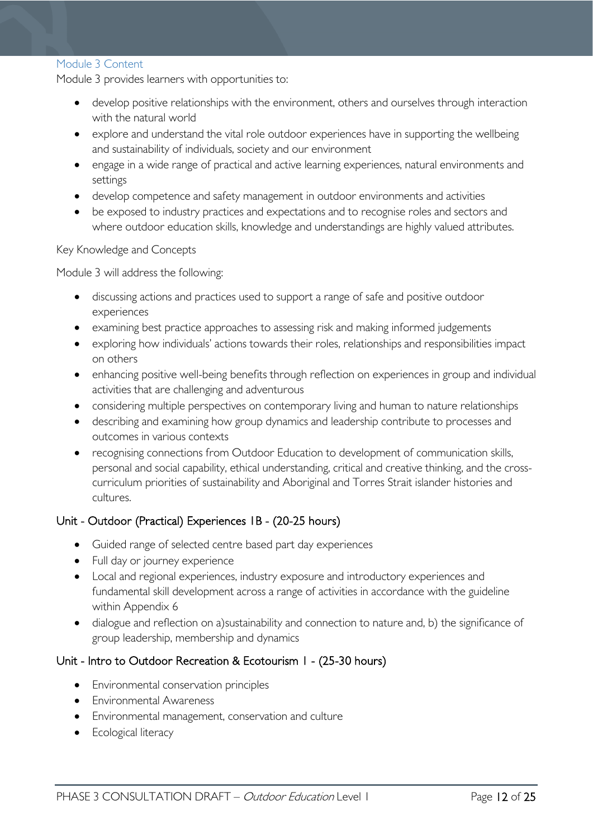#### <span id="page-11-0"></span>Module 3 Content

Module 3 provides learners with opportunities to:

- develop positive relationships with the environment, others and ourselves through interaction with the natural world
- explore and understand the vital role outdoor experiences have in supporting the wellbeing and sustainability of individuals, society and our environment
- engage in a wide range of practical and active learning experiences, natural environments and settings
- develop competence and safety management in outdoor environments and activities
- be exposed to industry practices and expectations and to recognise roles and sectors and where outdoor education skills, knowledge and understandings are highly valued attributes.

#### Key Knowledge and Concepts

Module 3 will address the following:

- discussing actions and practices used to support a range of safe and positive outdoor experiences
- examining best practice approaches to assessing risk and making informed judgements
- exploring how individuals' actions towards their roles, relationships and responsibilities impact on others
- enhancing positive well-being benefits through reflection on experiences in group and individual activities that are challenging and adventurous
- considering multiple perspectives on contemporary living and human to nature relationships
- describing and examining how group dynamics and leadership contribute to processes and outcomes in various contexts
- recognising connections from Outdoor Education to development of communication skills, personal and social capability, ethical understanding, critical and creative thinking, and the crosscurriculum priorities of sustainability and Aboriginal and Torres Strait islander histories and cultures.

### Unit - Outdoor (Practical) Experiences 1B - (20-25 hours)

- Guided range of selected centre based part day experiences
- Full day or journey experience
- Local and regional experiences, industry exposure and introductory experiences and fundamental skill development across a range of activities in accordance with the guideline within Appendix 6
- dialogue and reflection on a)sustainability and connection to nature and, b) the significance of group leadership, membership and dynamics

### Unit - Intro to Outdoor Recreation & Ecotourism 1 - (25-30 hours)

- Environmental conservation principles
- Environmental Awareness
- Environmental management, conservation and culture
- Ecological literacy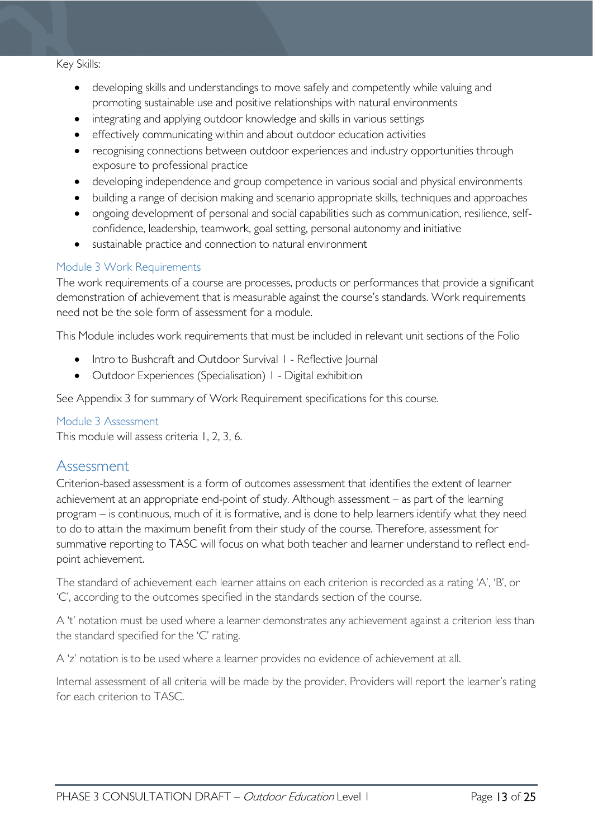#### Key Skills:

- developing skills and understandings to move safely and competently while valuing and promoting sustainable use and positive relationships with natural environments
- integrating and applying outdoor knowledge and skills in various settings
- effectively communicating within and about outdoor education activities
- recognising connections between outdoor experiences and industry opportunities through exposure to professional practice
- developing independence and group competence in various social and physical environments
- building a range of decision making and scenario appropriate skills, techniques and approaches
- ongoing development of personal and social capabilities such as communication, resilience, selfconfidence, leadership, teamwork, goal setting, personal autonomy and initiative
- sustainable practice and connection to natural environment

#### <span id="page-12-0"></span>Module 3 Work Requirements

The work requirements of a course are processes, products or performances that provide a significant demonstration of achievement that is measurable against the course's standards. Work requirements need not be the sole form of assessment for a module.

This Module includes work requirements that must be included in relevant unit sections of the Folio

- Intro to Bushcraft and Outdoor Survival I Reflective Journal
- Outdoor Experiences (Specialisation) 1 Digital exhibition

See Appendix 3 for summary of Work Requirement specifications for this course.

#### <span id="page-12-1"></span>Module 3 Assessment

This module will assess criteria 1, 2, 3, 6.

### <span id="page-12-2"></span>Assessment

Criterion-based assessment is a form of outcomes assessment that identifies the extent of learner achievement at an appropriate end-point of study. Although assessment – as part of the learning program – is continuous, much of it is formative, and is done to help learners identify what they need to do to attain the maximum benefit from their study of the course. Therefore, assessment for summative reporting to TASC will focus on what both teacher and learner understand to reflect endpoint achievement.

The standard of achievement each learner attains on each criterion is recorded as a rating 'A', 'B', or 'C', according to the outcomes specified in the standards section of the course.

A 't' notation must be used where a learner demonstrates any achievement against a criterion less than the standard specified for the 'C' rating.

A 'z' notation is to be used where a learner provides no evidence of achievement at all.

Internal assessment of all criteria will be made by the provider. Providers will report the learner's rating for each criterion to TASC.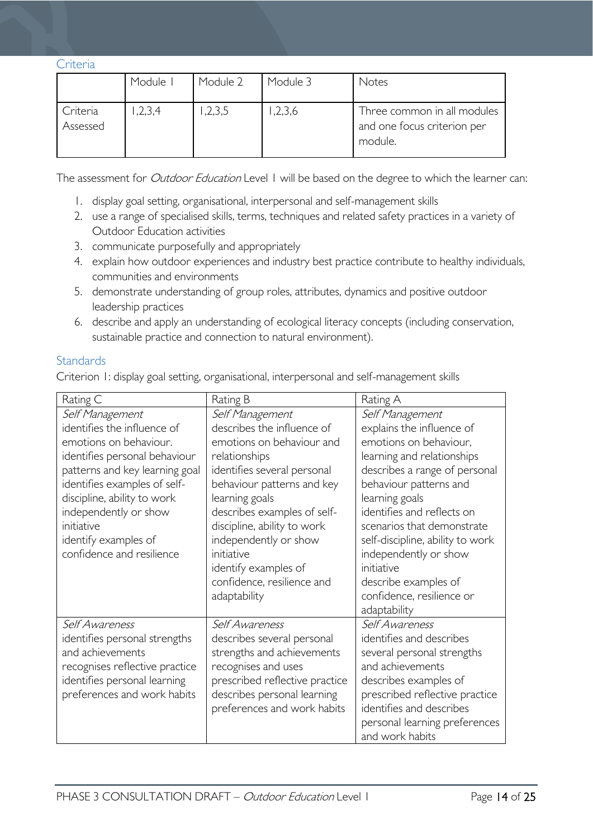<span id="page-13-0"></span>Criteria

|                      | Module I | Module 2 | Module 3 | <b>Notes</b>                                                          |
|----------------------|----------|----------|----------|-----------------------------------------------------------------------|
| Criteria<br>Assessed | 1,2,3,4  | 1,2,3,5  | 1,2,3,6  | Three common in all modules<br>and one focus criterion per<br>module. |

The assessment for *Outdoor Education* Level 1 will be based on the degree to which the learner can:

- 1. display goal setting, organisational, interpersonal and self-management skills
- 2. use a range of specialised skills, terms, techniques and related safety practices in a variety of Outdoor Education activities
- 3. communicate purposefully and appropriately
- 4. explain how outdoor experiences and industry best practice contribute to healthy individuals, communities and environments
- 5. demonstrate understanding of group roles, attributes, dynamics and positive outdoor leadership practices
- 6. describe and apply an understanding of ecological literacy concepts (including conservation, sustainable practice and connection to natural environment).

### <span id="page-13-1"></span>**Standards**

Criterion 1: display goal setting, organisational, interpersonal and self-management skills

| Rating C                                                                                                                                                                                                                                                                                               | Rating B                                                                                                                                                                                                                                                                                                                                              | Rating A                                                                                                                                                                                                                                                                                                                                                                      |
|--------------------------------------------------------------------------------------------------------------------------------------------------------------------------------------------------------------------------------------------------------------------------------------------------------|-------------------------------------------------------------------------------------------------------------------------------------------------------------------------------------------------------------------------------------------------------------------------------------------------------------------------------------------------------|-------------------------------------------------------------------------------------------------------------------------------------------------------------------------------------------------------------------------------------------------------------------------------------------------------------------------------------------------------------------------------|
| Self Management<br>identifies the influence of<br>emotions on behaviour.<br>identifies personal behaviour<br>patterns and key learning goal<br>identifies examples of self-<br>discipline, ability to work<br>independently or show<br>initiative<br>identify examples of<br>confidence and resilience | Self Management<br>describes the influence of<br>emotions on behaviour and<br>relationships<br>identifies several personal<br>behaviour patterns and key<br>learning goals<br>describes examples of self-<br>discipline, ability to work<br>independently or show<br>initiative<br>identify examples of<br>confidence, resilience and<br>adaptability | Self Management<br>explains the influence of<br>emotions on behaviour,<br>learning and relationships<br>describes a range of personal<br>behaviour patterns and<br>learning goals<br>identifies and reflects on<br>scenarios that demonstrate<br>self-discipline, ability to work<br>independently or show<br>initiative<br>describe examples of<br>confidence, resilience or |
| Self Awareness<br>identifies personal strengths<br>and achievements<br>recognises reflective practice<br>identifies personal learning<br>preferences and work habits                                                                                                                                   | Self Awareness<br>describes several personal<br>strengths and achievements<br>recognises and uses<br>prescribed reflective practice<br>describes personal learning<br>preferences and work habits                                                                                                                                                     | adaptability<br>Self Awareness<br>identifies and describes<br>several personal strengths<br>and achievements<br>describes examples of<br>prescribed reflective practice<br>identifies and describes<br>personal learning preferences<br>and work habits                                                                                                                       |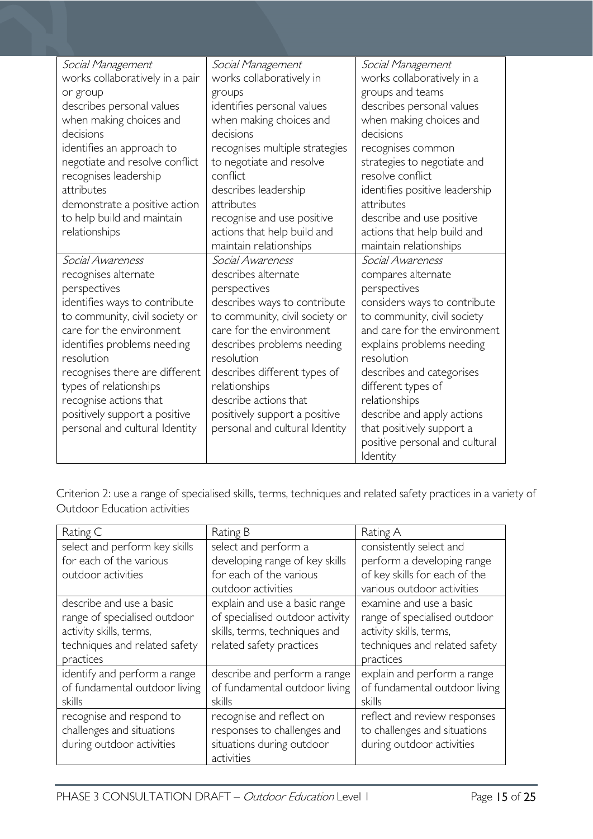| Social Management                                        | Social Management                        | Social Management                       |
|----------------------------------------------------------|------------------------------------------|-----------------------------------------|
| works collaboratively in a pair                          | works collaboratively in                 | works collaboratively in a              |
| or group                                                 | groups                                   | groups and teams                        |
| describes personal values                                | identifies personal values               | describes personal values               |
| when making choices and                                  | when making choices and                  | when making choices and                 |
| decisions                                                | decisions                                | decisions                               |
| identifies an approach to                                | recognises multiple strategies           | recognises common                       |
| negotiate and resolve conflict                           | to negotiate and resolve                 | strategies to negotiate and             |
| recognises leadership                                    | conflict                                 | resolve conflict                        |
| attributes                                               | describes leadership                     | identifies positive leadership          |
| demonstrate a positive action                            | attributes                               | attributes                              |
| to help build and maintain                               | recognise and use positive               | describe and use positive               |
| relationships                                            | actions that help build and              | actions that help build and             |
|                                                          | maintain relationships                   | maintain relationships                  |
| Social Awareness                                         | Social Awareness                         | Social Awareness                        |
| recognises alternate                                     | describes alternate                      | compares alternate                      |
| perspectives                                             | perspectives                             | perspectives                            |
| identifies ways to contribute                            | describes ways to contribute             | considers ways to contribute            |
| to community, civil society or                           | to community, civil society or           | to community, civil society             |
| care for the environment                                 | care for the environment                 | and care for the environment            |
| identifies problems needing<br>resolution                | describes problems needing<br>resolution | explains problems needing<br>resolution |
|                                                          | describes different types of             | describes and categorises               |
| recognises there are different<br>types of relationships | relationships                            |                                         |
| recognise actions that                                   | describe actions that                    | different types of<br>relationships     |
| positively support a positive                            | positively support a positive            | describe and apply actions              |
| personal and cultural Identity                           | personal and cultural Identity           | that positively support a               |
|                                                          |                                          | positive personal and cultural          |
|                                                          |                                          | Identity                                |

Criterion 2: use a range of specialised skills, terms, techniques and related safety practices in a variety of Outdoor Education activities

| Rating C                      | Rating B                        | Rating A                      |  |
|-------------------------------|---------------------------------|-------------------------------|--|
| select and perform key skills | select and perform a            | consistently select and       |  |
| for each of the various       | developing range of key skills  | perform a developing range    |  |
| outdoor activities            | for each of the various         | of key skills for each of the |  |
|                               | outdoor activities              | various outdoor activities    |  |
| describe and use a basic      | explain and use a basic range   | examine and use a basic       |  |
| range of specialised outdoor  | of specialised outdoor activity | range of specialised outdoor  |  |
| activity skills, terms,       | skills, terms, techniques and   | activity skills, terms,       |  |
| techniques and related safety | related safety practices        | techniques and related safety |  |
| practices                     |                                 | practices                     |  |
| identify and perform a range  | describe and perform a range    | explain and perform a range   |  |
| of fundamental outdoor living | of fundamental outdoor living   | of fundamental outdoor living |  |
| skills                        | skills                          | skills                        |  |
| recognise and respond to      | recognise and reflect on        | reflect and review responses  |  |
| challenges and situations     | responses to challenges and     | to challenges and situations  |  |
| during outdoor activities     | situations during outdoor       | during outdoor activities     |  |
|                               | activities                      |                               |  |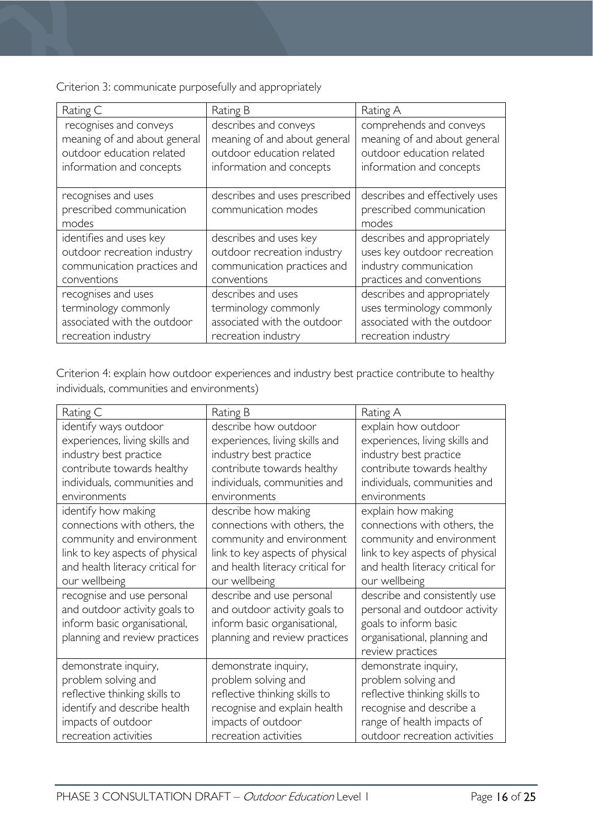Criterion 3: communicate purposefully and appropriately

| Rating C                                                 | Rating B                                             | Rating A                                                            |
|----------------------------------------------------------|------------------------------------------------------|---------------------------------------------------------------------|
| recognises and conveys                                   | describes and conveys                                | comprehends and conveys                                             |
| meaning of and about general                             | meaning of and about general                         | meaning of and about general                                        |
| outdoor education related                                | outdoor education related                            | outdoor education related                                           |
| information and concepts                                 | information and concepts                             | information and concepts                                            |
| recognises and uses<br>prescribed communication<br>modes | describes and uses prescribed<br>communication modes | describes and effectively uses<br>prescribed communication<br>modes |
| identifies and uses key                                  | describes and uses key                               | describes and appropriately                                         |
| outdoor recreation industry                              | outdoor recreation industry                          | uses key outdoor recreation                                         |
| communication practices and                              | communication practices and                          | industry communication                                              |
| conventions                                              | conventions                                          | practices and conventions                                           |
| recognises and uses                                      | describes and uses                                   | describes and appropriately                                         |
| terminology commonly                                     | terminology commonly                                 | uses terminology commonly                                           |
| associated with the outdoor                              | associated with the outdoor                          | associated with the outdoor                                         |
| recreation industry                                      | recreation industry                                  | recreation industry                                                 |

Criterion 4: explain how outdoor experiences and industry best practice contribute to healthy individuals, communities and environments)

| Rating C                         | Rating B                         | Rating A                         |  |
|----------------------------------|----------------------------------|----------------------------------|--|
| identify ways outdoor            | describe how outdoor             | explain how outdoor              |  |
| experiences, living skills and   | experiences, living skills and   | experiences, living skills and   |  |
| industry best practice           | industry best practice           | industry best practice           |  |
| contribute towards healthy       | contribute towards healthy       | contribute towards healthy       |  |
| individuals, communities and     | individuals, communities and     | individuals, communities and     |  |
| environments                     | environments                     | environments                     |  |
| identify how making              | describe how making              | explain how making               |  |
| connections with others, the     | connections with others, the     | connections with others, the     |  |
| community and environment        | community and environment        | community and environment        |  |
| link to key aspects of physical  | link to key aspects of physical  | link to key aspects of physical  |  |
| and health literacy critical for | and health literacy critical for | and health literacy critical for |  |
| our wellbeing                    | our wellbeing                    | our wellbeing                    |  |
| recognise and use personal       | describe and use personal        | describe and consistently use    |  |
| and outdoor activity goals to    | and outdoor activity goals to    | personal and outdoor activity    |  |
| inform basic organisational,     | inform basic organisational,     | goals to inform basic            |  |
| planning and review practices    | planning and review practices    | organisational, planning and     |  |
|                                  |                                  | review practices                 |  |
| demonstrate inquiry,             | demonstrate inquiry,             | demonstrate inquiry,             |  |
| problem solving and              | problem solving and              | problem solving and              |  |
| reflective thinking skills to    | reflective thinking skills to    | reflective thinking skills to    |  |
| identify and describe health     | recognise and explain health     | recognise and describe a         |  |
| impacts of outdoor               | impacts of outdoor               | range of health impacts of       |  |
| recreation activities            | recreation activities            | outdoor recreation activities    |  |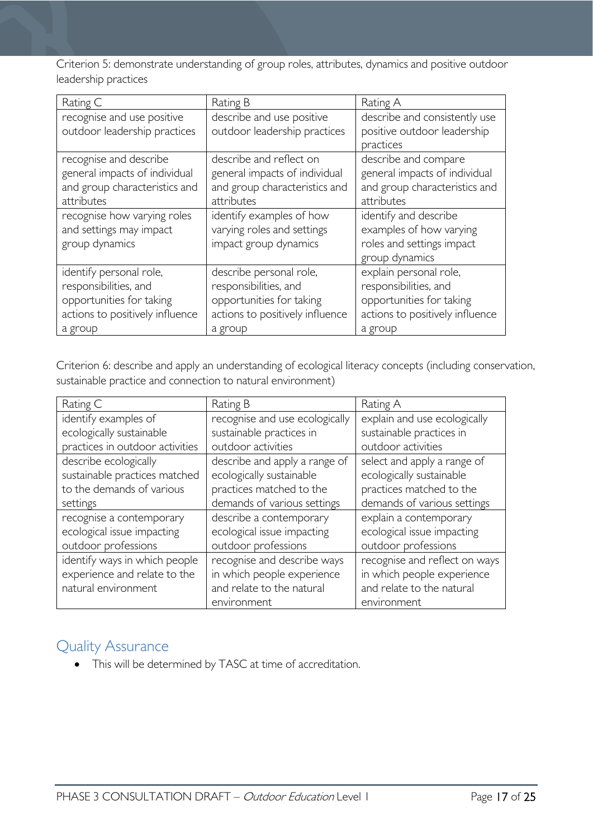Criterion 5: demonstrate understanding of group roles, attributes, dynamics and positive outdoor leadership practices

| Rating C                        | Rating B                        | Rating A                        |  |
|---------------------------------|---------------------------------|---------------------------------|--|
| recognise and use positive      | describe and use positive       | describe and consistently use   |  |
| outdoor leadership practices    | outdoor leadership practices    | positive outdoor leadership     |  |
|                                 |                                 | practices                       |  |
| recognise and describe          | describe and reflect on         | describe and compare            |  |
| general impacts of individual   | general impacts of individual   | general impacts of individual   |  |
| and group characteristics and   | and group characteristics and   | and group characteristics and   |  |
| attributes                      | attributes                      | attributes                      |  |
| recognise how varying roles     | identify examples of how        | identify and describe           |  |
| and settings may impact         | varying roles and settings      | examples of how varying         |  |
| group dynamics                  | impact group dynamics           | roles and settings impact       |  |
|                                 |                                 | group dynamics                  |  |
| identify personal role,         | describe personal role,         | explain personal role,          |  |
| responsibilities, and           | responsibilities, and           | responsibilities, and           |  |
| opportunities for taking        | opportunities for taking        | opportunities for taking        |  |
| actions to positively influence | actions to positively influence | actions to positively influence |  |
| a group                         | a group                         | a group                         |  |

Criterion 6: describe and apply an understanding of ecological literacy concepts (including conservation, sustainable practice and connection to natural environment)

| Rating C                        | Rating B                       | Rating A                      |
|---------------------------------|--------------------------------|-------------------------------|
| identify examples of            | recognise and use ecologically | explain and use ecologically  |
| ecologically sustainable        | sustainable practices in       | sustainable practices in      |
| practices in outdoor activities | outdoor activities             | outdoor activities            |
| describe ecologically           | describe and apply a range of  | select and apply a range of   |
| sustainable practices matched   | ecologically sustainable       | ecologically sustainable      |
| to the demands of various       | practices matched to the       | practices matched to the      |
| settings                        | demands of various settings    | demands of various settings   |
| recognise a contemporary        | describe a contemporary        | explain a contemporary        |
| ecological issue impacting      | ecological issue impacting     | ecological issue impacting    |
| outdoor professions             | outdoor professions            | outdoor professions           |
| identify ways in which people   | recognise and describe ways    | recognise and reflect on ways |
| experience and relate to the    | in which people experience     | in which people experience    |
| natural environment             | and relate to the natural      | and relate to the natural     |
|                                 | environment                    | environment                   |

# <span id="page-16-0"></span>Quality Assurance

• This will be determined by TASC at time of accreditation.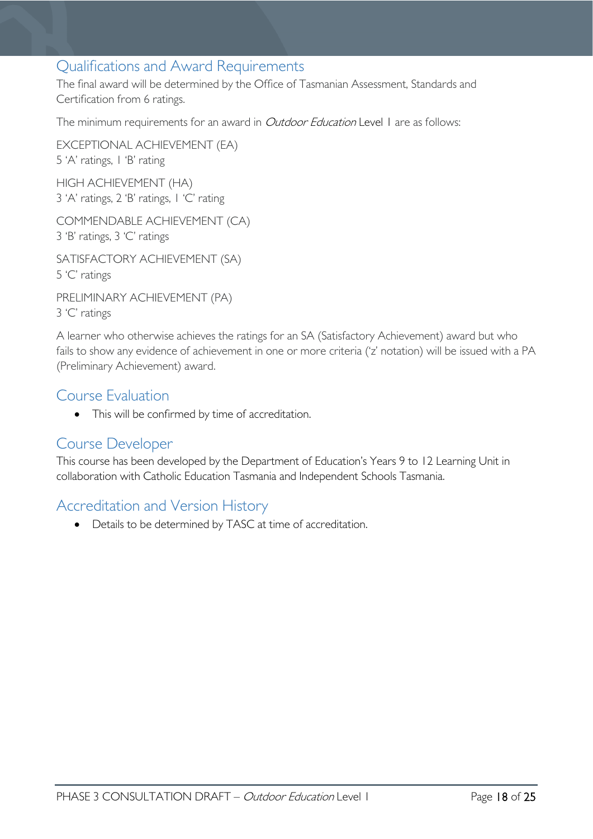# <span id="page-17-0"></span>Qualifications and Award Requirements

The final award will be determined by the Office of Tasmanian Assessment, Standards and Certification from 6 ratings.

The minimum requirements for an award in *Outdoor Education* Level 1 are as follows:

EXCEPTIONAL ACHIEVEMENT (EA) 5 'A' ratings, 1 'B' rating HIGH ACHIEVEMENT (HA)

3 'A' ratings, 2 'B' ratings, 1 'C' rating

COMMENDABLE ACHIEVEMENT (CA) 3 'B' ratings, 3 'C' ratings

SATISFACTORY ACHIEVEMENT (SA) 5 'C' ratings

PRELIMINARY ACHIEVEMENT (PA) 3 'C' ratings

A learner who otherwise achieves the ratings for an SA (Satisfactory Achievement) award but who fails to show any evidence of achievement in one or more criteria ('z' notation) will be issued with a PA (Preliminary Achievement) award.

# <span id="page-17-1"></span>Course Evaluation

• This will be confirmed by time of accreditation.

### <span id="page-17-2"></span>Course Developer

This course has been developed by the Department of Education's Years 9 to 12 Learning Unit in collaboration with Catholic Education Tasmania and Independent Schools Tasmania.

# <span id="page-17-3"></span>Accreditation and Version History

• Details to be determined by TASC at time of accreditation.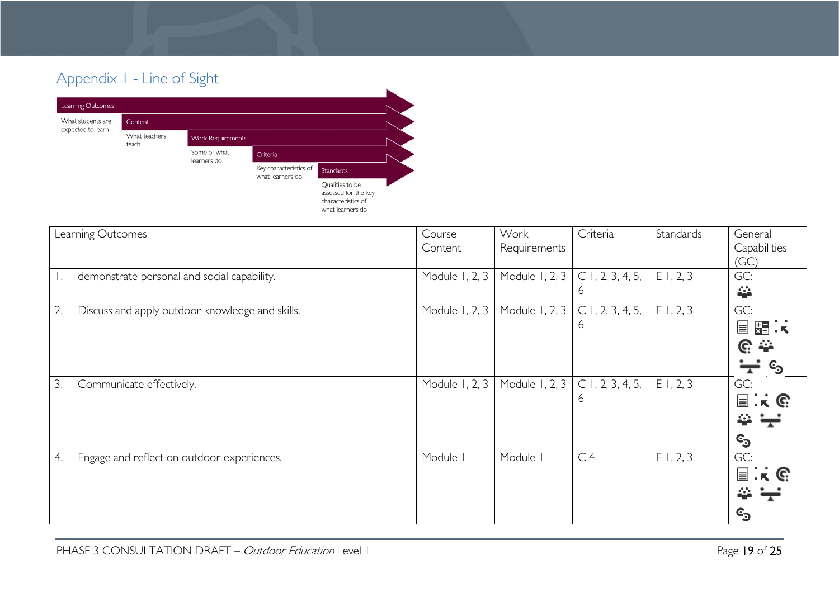# Appendix 1 - Line of Sight



<span id="page-18-0"></span>

| Learning Outcomes                                     | Course         | Work           | Criteria           | Standards | General                            |
|-------------------------------------------------------|----------------|----------------|--------------------|-----------|------------------------------------|
|                                                       | Content        | Requirements   |                    |           | Capabilities                       |
|                                                       |                |                |                    |           | (GC)                               |
| demonstrate personal and social capability.           | Module 1, 2, 3 | Module 1, 2, 3 | $C$ 1, 2, 3, 4, 5, | E1, 2, 3  | GC:                                |
|                                                       |                |                | 6                  |           | 垒                                  |
| 2.<br>Discuss and apply outdoor knowledge and skills. | Module 1, 2, 3 | Module 1, 2, 3 | $C$ 1, 2, 3, 4, 5, | E1, 2, 3  | GC:                                |
|                                                       |                |                | 6                  |           | 闘:<br>E                            |
|                                                       |                |                |                    |           | $\mathbb{C}$ $\cong$               |
|                                                       |                |                |                    |           | $\mathbb{c}_2$<br>┳                |
| Communicate effectively.<br>3.                        | Module 1, 2, 3 | Module 1, 2, 3 | $C$ 1, 2, 3, 4, 5, | E1, 2, 3  | GC:                                |
|                                                       |                |                | 6                  |           | $K$ $\mathbb{C}$<br>$\equiv$       |
|                                                       |                |                |                    |           | 44                                 |
|                                                       |                |                |                    |           | ©ු                                 |
| 4.<br>Engage and reflect on outdoor experiences.      | Module I       | Module         | C <sub>4</sub>     | E1, 2, 3  | GC:                                |
|                                                       |                |                |                    |           | $\equiv$<br>$\cdot$ k $\mathbb{G}$ |
|                                                       |                |                |                    |           | 44                                 |
|                                                       |                |                |                    |           | ©ු                                 |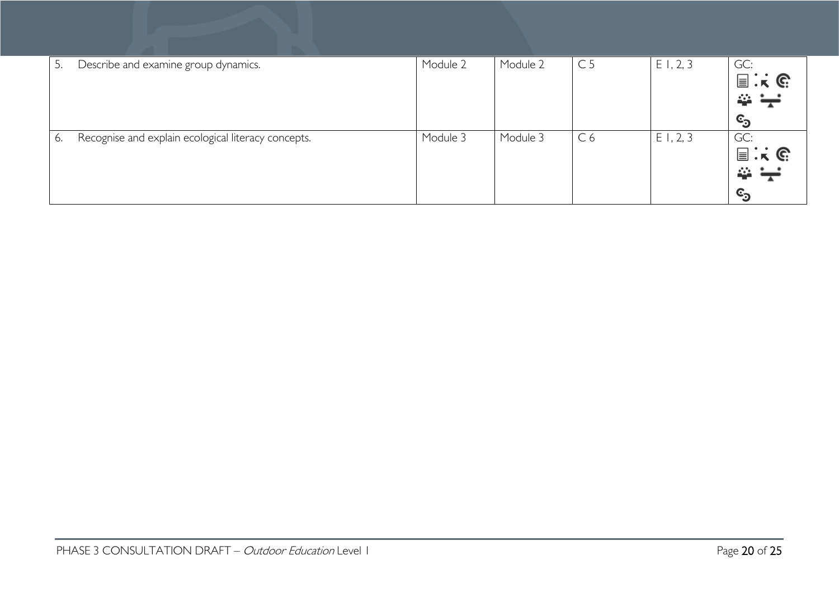| 5. | Describe and examine group dynamics.                | Module 2 | Module 2 | C <sub>5</sub> | E1, 2, 3 | GC:<br>$\Xi$ : $\kappa$ G<br>$\Rightarrow$ $\div$<br>©ු |
|----|-----------------------------------------------------|----------|----------|----------------|----------|---------------------------------------------------------|
| 6. | Recognise and explain ecological literacy concepts. | Module 3 | Module 3 | C <sub>6</sub> | E1, 2, 3 | GC:<br>$\Xi$ : $\kappa$ G<br>22<br>©ු                   |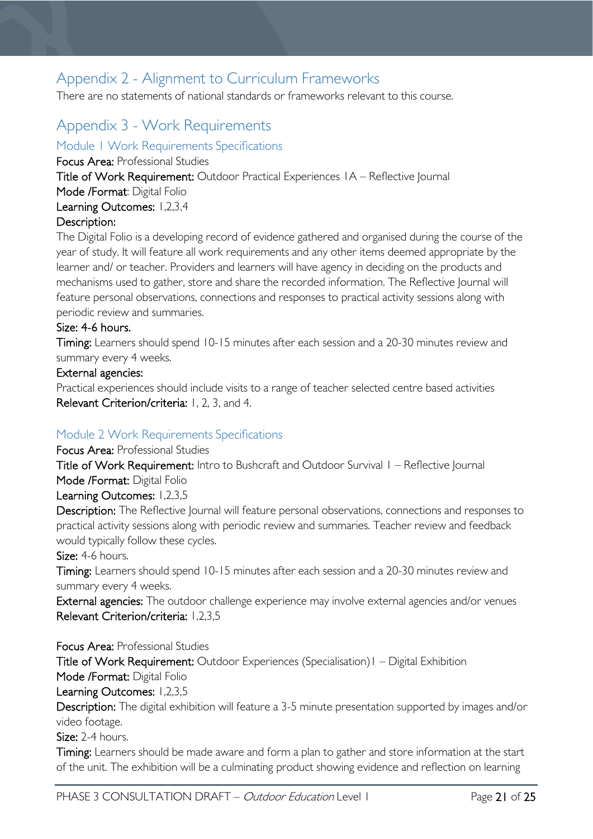# <span id="page-20-0"></span>Appendix 2 - Alignment to Curriculum Frameworks

There are no statements of national standards or frameworks relevant to this course.

# <span id="page-20-1"></span>Appendix 3 - Work Requirements

<span id="page-20-2"></span>Module 1 Work Requirements Specifications

Focus Area: Professional Studies

Title of Work Requirement: Outdoor Practical Experiences 1A – Reflective Journal

Mode /Format: Digital Folio

Learning Outcomes: 1,2,3,4

### Description:

The Digital Folio is a developing record of evidence gathered and organised during the course of the year of study. It will feature all work requirements and any other items deemed appropriate by the learner and/ or teacher. Providers and learners will have agency in deciding on the products and mechanisms used to gather, store and share the recorded information. The Reflective Journal will feature personal observations, connections and responses to practical activity sessions along with periodic review and summaries.

### Size: 4-6 hours.

Timing: Learners should spend 10-15 minutes after each session and a 20-30 minutes review and summary every 4 weeks.

### External agencies:

Practical experiences should include visits to a range of teacher selected centre based activities Relevant Criterion/criteria: 1, 2, 3, and 4.

### <span id="page-20-3"></span>Module 2 Work Requirements Specifications

### Focus Area: Professional Studies

Title of Work Requirement: Intro to Bushcraft and Outdoor Survival I – Reflective Journal Mode /Format: Digital Folio

Learning Outcomes: 1,2,3,5

Description: The Reflective Journal will feature personal observations, connections and responses to practical activity sessions along with periodic review and summaries. Teacher review and feedback would typically follow these cycles.

Size: 4-6 hours.

Timing: Learners should spend 10-15 minutes after each session and a 20-30 minutes review and summary every 4 weeks.

External agencies: The outdoor challenge experience may involve external agencies and/or venues Relevant Criterion/criteria: 1,2,3,5

Focus Area: Professional Studies Title of Work Requirement: Outdoor Experiences (Specialisation)1 – Digital Exhibition Mode /Format: Digital Folio Learning Outcomes: 1,2,3,5

Description: The digital exhibition will feature a 3-5 minute presentation supported by images and/or video footage.

Size: 2-4 hours.

Timing: Learners should be made aware and form a plan to gather and store information at the start of the unit. The exhibition will be a culminating product showing evidence and reflection on learning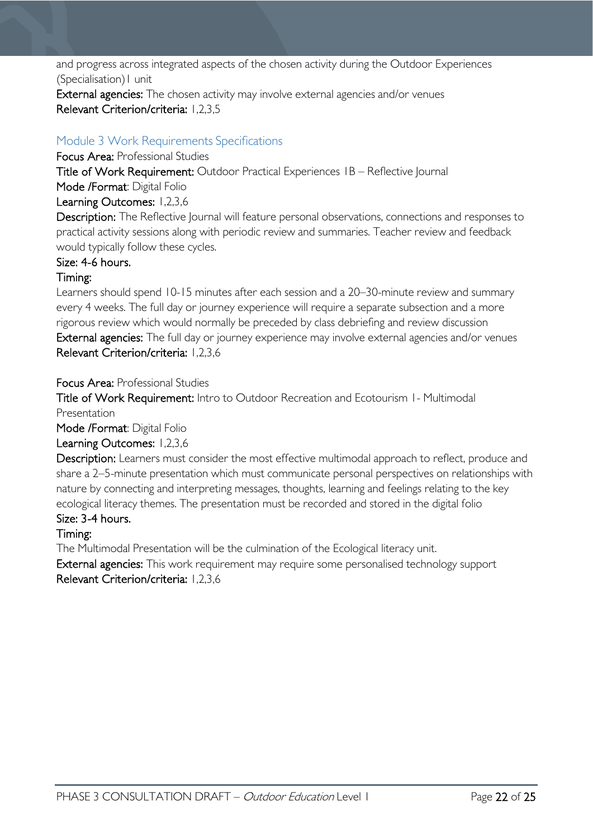and progress across integrated aspects of the chosen activity during the Outdoor Experiences (Specialisation)1 unit

External agencies: The chosen activity may involve external agencies and/or venues Relevant Criterion/criteria: 1,2,3,5

### <span id="page-21-0"></span>Module 3 Work Requirements Specifications

Focus Area: Professional Studies

Title of Work Requirement: Outdoor Practical Experiences 1B – Reflective Journal Mode /Format: Digital Folio

Learning Outcomes: 1,2,3,6

Description: The Reflective Journal will feature personal observations, connections and responses to practical activity sessions along with periodic review and summaries. Teacher review and feedback would typically follow these cycles.

### Size: 4-6 hours.

### Timing:

Learners should spend 10-15 minutes after each session and a 20–30-minute review and summary every 4 weeks. The full day or journey experience will require a separate subsection and a more rigorous review which would normally be preceded by class debriefing and review discussion External agencies: The full day or journey experience may involve external agencies and/or venues Relevant Criterion/criteria: 1,2,3,6

Focus Area: Professional Studies

Title of Work Requirement: Intro to Outdoor Recreation and Ecotourism 1- Multimodal Presentation

Mode /Format: Digital Folio

### Learning Outcomes: 1,2,3,6

Description: Learners must consider the most effective multimodal approach to reflect, produce and share a 2–5-minute presentation which must communicate personal perspectives on relationships with nature by connecting and interpreting messages, thoughts, learning and feelings relating to the key ecological literacy themes. The presentation must be recorded and stored in the digital folio

### Size: 3-4 hours.

### Timing:

The Multimodal Presentation will be the culmination of the Ecological literacy unit.

External agencies: This work requirement may require some personalised technology support Relevant Criterion/criteria: 1,2,3,6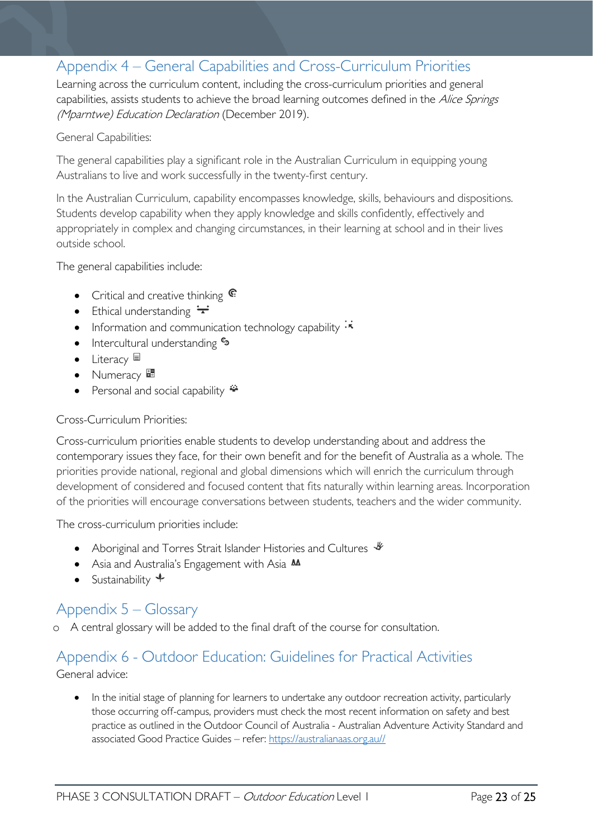# <span id="page-22-0"></span>Appendix 4 – General Capabilities and Cross-Curriculum Priorities

Learning across the curriculum content, including the cross-curriculum priorities and general capabilities, assists students to achieve the broad learning outcomes defined in the Alice Springs (Mparntwe) Education Declaration (December 2019).

#### General Capabilities:

The general capabilities play a significant role in the Australian Curriculum in equipping young Australians to live and work successfully in the twenty-first century.

In the Australian Curriculum, capability encompasses knowledge, skills, behaviours and dispositions. Students develop capability when they apply knowledge and skills confidently, effectively and appropriately in complex and changing circumstances, in their learning at school and in their lives outside school.

The general capabilities include:

- Critical and creative thinking  $\mathbb{C}$
- Ethical understanding  $\div$
- Information and communication technology capability  $\cdot$
- Intercultural understanding  $\frac{c_3}{ }$
- Literacy
- Numeracy
- Personal and social capability  $\ddot{=}$

#### Cross-Curriculum Priorities:

Cross-curriculum priorities enable students to develop understanding about and address the contemporary issues they face, for their own benefit and for the benefit of Australia as a whole. The priorities provide national, regional and global dimensions which will enrich the curriculum through development of considered and focused content that fits naturally within learning areas. Incorporation of the priorities will encourage conversations between students, teachers and the wider community.

The cross-curriculum priorities include:

- Aboriginal and Torres Strait Islander Histories and Cultures  $\mathscr$
- Asia and Australia's Engagement with Asia M
- Sustainability  $\triangleleft$

# <span id="page-22-1"></span>Appendix 5 – Glossary

o A central glossary will be added to the final draft of the course for consultation.

### <span id="page-22-2"></span>Appendix 6 - Outdoor Education: Guidelines for Practical Activities General advice:

• In the initial stage of planning for learners to undertake any outdoor recreation activity, particularly those occurring off-campus, providers must check the most recent information on safety and best practice as outlined in the Outdoor Council of Australia - Australian Adventure Activity Standard and associated Good Practice Guides – refer: [https://australianaas.org.au//](https://australianaas.org.au/)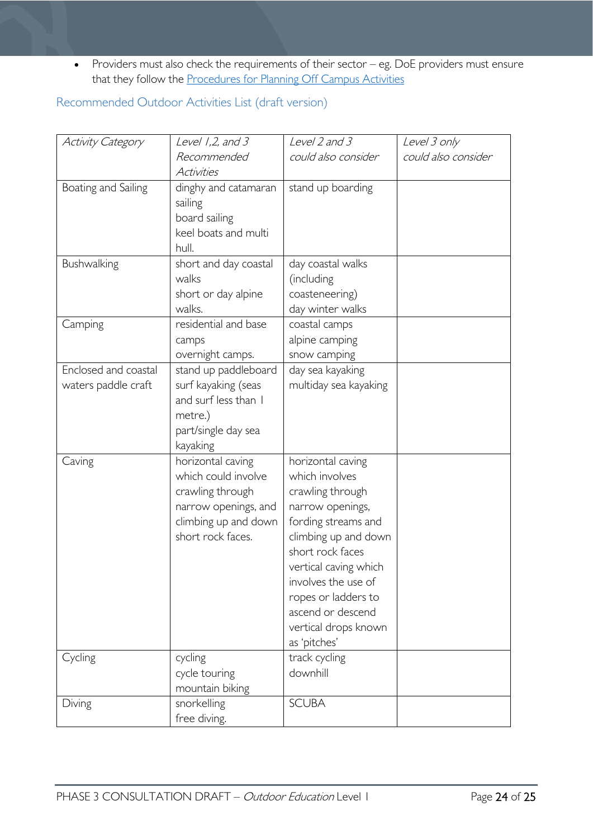• Providers must also check the requirements of their sector – eg. DoE providers must ensure that they follow the [Procedures for Planning Off Campus Activities](https://tasedu.sharepoint.com/sites/intranet/Document%20Centre/Procedures-for-Planning-Off-Campus-Activities.PDF)

<span id="page-23-0"></span>Recommended Outdoor Activities List (draft version)

| Activity Category    | Level $1,2$ , and $3$ | Level 2 and 3                            | Level 3 only        |
|----------------------|-----------------------|------------------------------------------|---------------------|
|                      | Recommended           | could also consider                      | could also consider |
|                      | Activities            |                                          |                     |
| Boating and Sailing  | dinghy and catamaran  | stand up boarding                        |                     |
|                      | sailing               |                                          |                     |
|                      | board sailing         |                                          |                     |
|                      | keel boats and multi  |                                          |                     |
|                      | hull.                 |                                          |                     |
| Bushwalking          | short and day coastal | day coastal walks                        |                     |
|                      | walks                 | (including                               |                     |
|                      | short or day alpine   | coasteneering)                           |                     |
|                      | walks.                | day winter walks                         |                     |
| Camping              | residential and base  | coastal camps                            |                     |
|                      | camps                 | alpine camping                           |                     |
|                      | overnight camps.      | snow camping                             |                     |
| Enclosed and coastal | stand up paddleboard  | day sea kayaking                         |                     |
| waters paddle craft  | surf kayaking (seas   | multiday sea kayaking                    |                     |
|                      | and surf less than I  |                                          |                     |
|                      | metre.)               |                                          |                     |
|                      | part/single day sea   |                                          |                     |
|                      | kayaking              |                                          |                     |
| Caving               | horizontal caving     | horizontal caving                        |                     |
|                      | which could involve   | which involves                           |                     |
|                      | crawling through      | crawling through                         |                     |
|                      | narrow openings, and  | narrow openings,                         |                     |
|                      | climbing up and down  | fording streams and                      |                     |
|                      | short rock faces.     | climbing up and down                     |                     |
|                      |                       | short rock faces                         |                     |
|                      |                       | vertical caving which                    |                     |
|                      |                       | involves the use of                      |                     |
|                      |                       | ropes or ladders to<br>ascend or descend |                     |
|                      |                       | vertical drops known                     |                     |
|                      |                       | as 'pitches'                             |                     |
| Cycling              | cycling               | track cycling                            |                     |
|                      | cycle touring         | downhill                                 |                     |
|                      | mountain biking       |                                          |                     |
| Diving               | snorkelling           | <b>SCUBA</b>                             |                     |
|                      | free diving.          |                                          |                     |